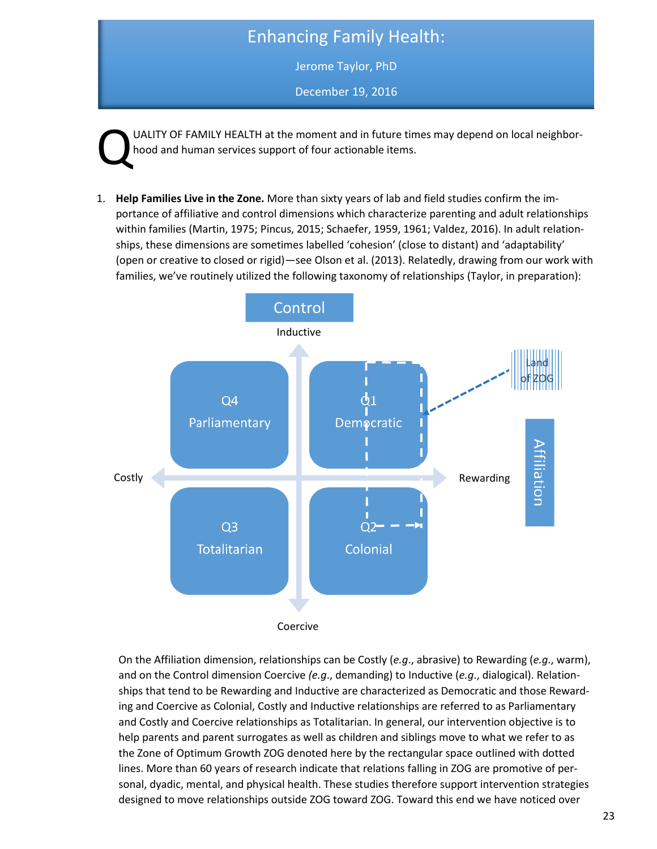## Enhancing Family Health:

Jerome Taylor, PhD

December 19, 2016

UALITY OF FAMILY HEALTH at the moment and in future times may depend on local neighborhood and human services support of four actionable items. Q

1. **Help Families Live in the Zone.** More than sixty years of lab and field studies confirm the importance of affiliative and control dimensions which characterize parenting and adult relationships within families (Martin, 1975; Pincus, 2015; Schaefer, 1959, 1961; Valdez, 2016). In adult relationships, these dimensions are sometimes labelled 'cohesion' (close to distant) and 'adaptability' (open or creative to closed or rigid)—see Olson et al. (2013). Relatedly, drawing from our work with families, we've routinely utilized the following taxonomy of relationships (Taylor, in preparation):



ing and Coercive as Colonial, Costly and Inductive relationships are referred to as Parliamentary help parents and parent surrogates as well as children and siblings move to what we refer to as the Zone of Optimum Growth ZOG denoted here by the rectangular space outlined with dotted sonal, dyadic, mental, and physical health. These studies therefore support intervention strategies On the Affiliation dimension, relationships can be Costly (*e.g*., abrasive) to Rewarding (*e.g*., warm), and on the Control dimension Coercive *(e.g*., demanding) to Inductive (*e.g*., dialogical). Relationships that tend to be Rewarding and Inductive are characterized as Democratic and those Rewardand Costly and Coercive relationships as Totalitarian. In general, our intervention objective is to lines. More than 60 years of research indicate that relations falling in ZOG are promotive of perdesigned to move relationships outside ZOG toward ZOG. Toward this end we have noticed over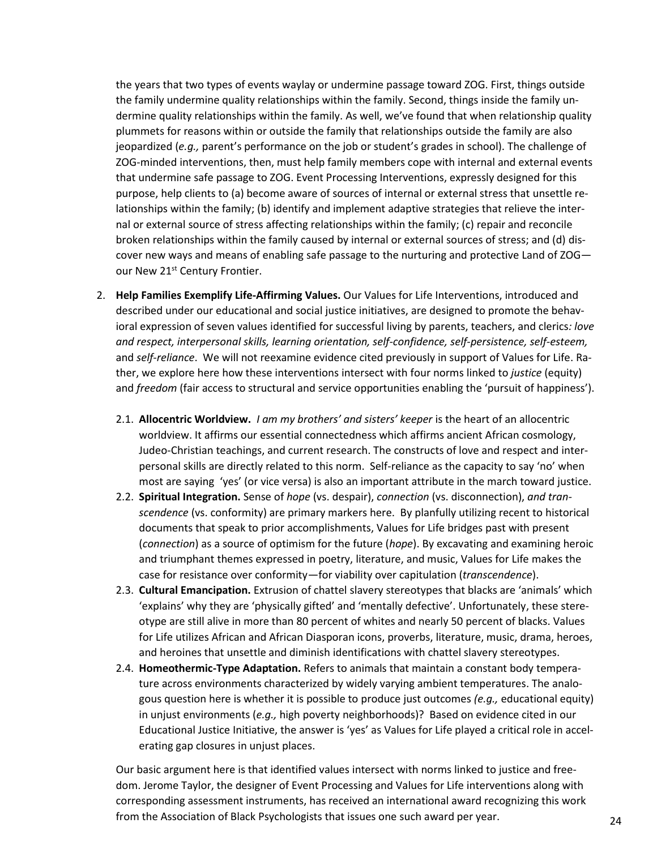the years that two types of events waylay or undermine passage toward ZOG. First, things outside the family undermine quality relationships within the family. Second, things inside the family undermine quality relationships within the family. As well, we've found that when relationship quality plummets for reasons within or outside the family that relationships outside the family are also jeopardized (*e.g.,* parent's performance on the job or student's grades in school). The challenge of ZOG-minded interventions, then, must help family members cope with internal and external events that undermine safe passage to ZOG. Event Processing Interventions, expressly designed for this purpose, help clients to (a) become aware of sources of internal or external stress that unsettle relationships within the family; (b) identify and implement adaptive strategies that relieve the internal or external source of stress affecting relationships within the family; (c) repair and reconcile broken relationships within the family caused by internal or external sources of stress; and (d) discover new ways and means of enabling safe passage to the nurturing and protective Land of ZOG our New 21<sup>st</sup> Century Frontier.

- 2. **Help Families Exemplify Life-Affirming Values.** Our Values for Life Interventions, introduced and described under our educational and social justice initiatives, are designed to promote the behavioral expression of seven values identified for successful living by parents, teachers, and clerics*: love and respect, interpersonal skills, learning orientation, self-confidence, self-persistence, self-esteem,*  and *self-reliance*. We will not reexamine evidence cited previously in support of Values for Life. Rather, we explore here how these interventions intersect with four norms linked to *justice* (equity) and *freedom* (fair access to structural and service opportunities enabling the 'pursuit of happiness').
	- 2.1. **Allocentric Worldview.** *I am my brothers' and sisters' keeper* is the heart of an allocentric worldview. It affirms our essential connectedness which affirms ancient African cosmology, Judeo-Christian teachings, and current research. The constructs of love and respect and interpersonal skills are directly related to this norm. Self-reliance as the capacity to say 'no' when most are saying 'yes' (or vice versa) is also an important attribute in the march toward justice.
	- 2.2. **Spiritual Integration.** Sense of *hope* (vs. despair), *connection* (vs. disconnection), *and transcendence* (vs. conformity) are primary markers here. By planfully utilizing recent to historical documents that speak to prior accomplishments, Values for Life bridges past with present (*connection*) as a source of optimism for the future (*hope*). By excavating and examining heroic and triumphant themes expressed in poetry, literature, and music, Values for Life makes the case for resistance over conformity—for viability over capitulation (*transcendence*).
	- 2.3. **Cultural Emancipation.** Extrusion of chattel slavery stereotypes that blacks are 'animals' which 'explains' why they are 'physically gifted' and 'mentally defective'. Unfortunately, these stereotype are still alive in more than 80 percent of whites and nearly 50 percent of blacks. Values for Life utilizes African and African Diasporan icons, proverbs, literature, music, drama, heroes, and heroines that unsettle and diminish identifications with chattel slavery stereotypes.
	- 2.4. **Homeothermic-Type Adaptation.** Refers to animals that maintain a constant body temperature across environments characterized by widely varying ambient temperatures. The analogous question here is whether it is possible to produce just outcomes *(e.g.,* educational equity) in unjust environments (*e.g.,* high poverty neighborhoods)? Based on evidence cited in our Educational Justice Initiative, the answer is 'yes' as Values for Life played a critical role in accelerating gap closures in unjust places.

Our basic argument here is that identified values intersect with norms linked to justice and freedom. Jerome Taylor, the designer of Event Processing and Values for Life interventions along with corresponding assessment instruments, has received an international award recognizing this work from the Association of Black Psychologists that issues one such award per year. 24